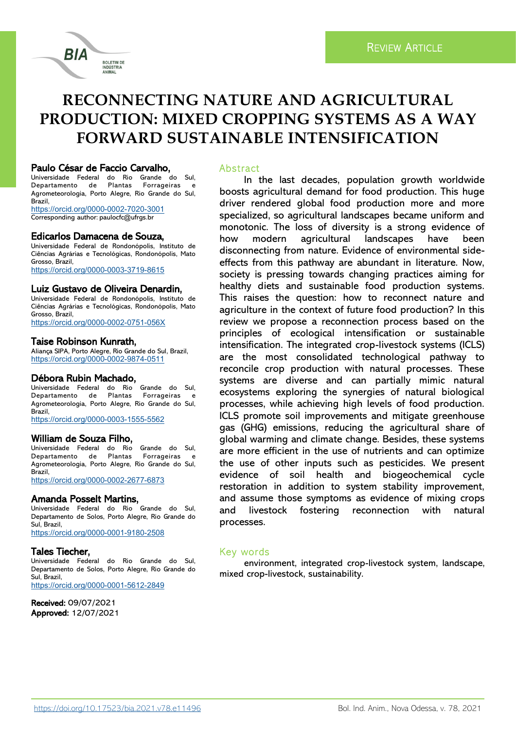# **RECONNECTING NATURE AND AGRICULTURAL PRODUCTION: MIXED CROPPING SYSTEMS AS A WAY FORWARD SUSTAINABLE INTENSIFICATION**

#### Paulo César de Faccio Carvalho,

RIA

Universidade Federal do Rio Grande do Sul, Departamento de Plantas Forrageiras e Agrometeorologia, Porto Alegre, Rio Grande do Sul, Brazil,

**BOLETIM DE INDÚSTRIA** ANIMAL

[https://orcid.org/0000](https://orcid.org/0000-0002-7020-3001)-0002-7020-3001 Corresponding author: paulocfc@ufrgs.br

# Edicarlos Damacena de Souza,

Universidade Federal de Rondonópolis, Instituto de Ciências Agrárias e Tecnológicas, Rondonópolis, Mato Grosso, Brazil, [https://orcid.org/0000](https://orcid.org/0000-0003-3719-8615)-0003-3719-8615

#### Luiz Gustavo de Oliveira Denardin,

Universidade Federal de Rondonópolis, Instituto de Ciências Agrárias e Tecnológicas, Rondonópolis, Mato Grosso, Brazil, [https://orcid.org/0000](https://orcid.org/0000-0002-0751-056X)-0002-0751-056X

# Taise Robinson Kunrath,

Aliança SIPA, Porto Alegre, Rio Grande do Sul, Brazil, [https://orcid.org/0000](https://orcid.org/0000-0002-9874-0511)-0002-9874-0511

### Débora Rubin Machado,

Universidade Federal do Rio Grande do Sul, Departamento de Plantas Forrageiras e Agrometeorologia, Porto Alegre, Rio Grande do Sul, Brazil,

[https://orcid.org/0000](https://orcid.org/0000-0003-1555-5562)-0003-1555-5562

#### William de Souza Filho,

Universidade Federal do Rio Grande do Sul, Departamento de Plantas Forrageiras Agrometeorologia, Porto Alegre, Rio Grande do Sul, Brazil,

[https://orcid.org/0000](https://orcid.org/0000-0002-2677-6873)-0002-2677-6873

# Amanda Posselt Martins,

Universidade Federal do Rio Grande do Sul, Departamento de Solos, Porto Alegre, Rio Grande do Sul, Brazil, [https://orcid.org/0000](https://orcid.org/0000-0001-9180-2508)-0001-9180-2508

#### Tales Tiecher,

Universidade Federal do Rio Grande do Sul, Departamento de Solos, Porto Alegre, Rio Grande do Sul, Brazil, [https://orcid.org/0000](https://orcid.org/0000-0001-5612-2849)-0001-5612-2849

Received: 09/07/2021 Approved: 12/07/2021

### **Abstract**

In the last decades, population growth worldwide boosts agricultural demand for food production. This huge driver rendered global food production more and more specialized, so agricultural landscapes became uniform and monotonic. The loss of diversity is a strong evidence of how modern agricultural landscapes have been disconnecting from nature. Evidence of environmental sideeffects from this pathway are abundant in literature. Now, society is pressing towards changing practices aiming for healthy diets and sustainable food production systems. This raises the question: how to reconnect nature and agriculture in the context of future food production? In this review we propose a reconnection process based on the principles of ecological intensification or sustainable intensification. The integrated crop-livestock systems (ICLS) are the most consolidated technological pathway to reconcile crop production with natural processes. These systems are diverse and can partially mimic natural ecosystems exploring the synergies of natural biological processes, while achieving high levels of food production. ICLS promote soil improvements and mitigate greenhouse gas (GHG) emissions, reducing the agricultural share of global warming and climate change. Besides, these systems are more efficient in the use of nutrients and can optimize the use of other inputs such as pesticides. We present evidence of soil health and biogeochemical cycle restoration in addition to system stability improvement, and assume those symptoms as evidence of mixing crops and livestock fostering reconnection with natural processes.

### Key words

environment, integrated crop-livestock system, landscape, mixed crop-livestock, sustainability.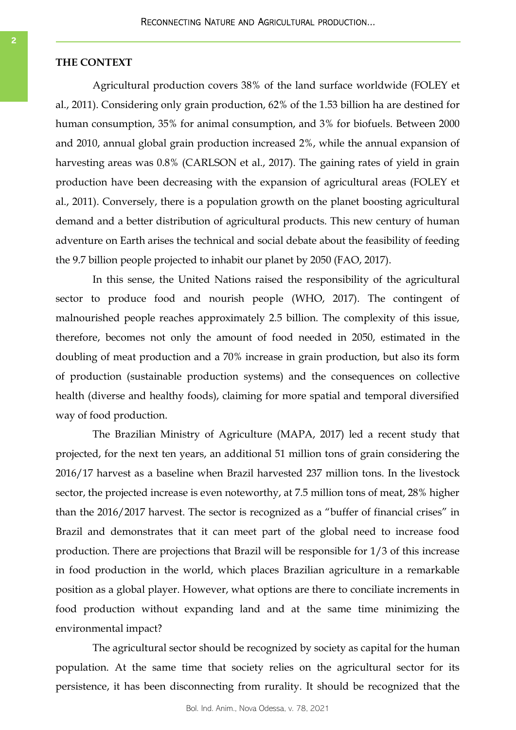# **THE CONTEXT**

Agricultural production covers 38% of the land surface worldwide (FOLEY et al., 2011). Considering only grain production, 62% of the 1.53 billion ha are destined for human consumption, 35% for animal consumption, and 3% for biofuels. Between 2000 and 2010, annual global grain production increased 2%, while the annual expansion of harvesting areas was 0.8% (CARLSON et al., 2017). The gaining rates of yield in grain production have been decreasing with the expansion of agricultural areas (FOLEY et al., 2011). Conversely, there is a population growth on the planet boosting agricultural demand and a better distribution of agricultural products. This new century of human adventure on Earth arises the technical and social debate about the feasibility of feeding the 9.7 billion people projected to inhabit our planet by 2050 (FAO, 2017).

In this sense, the United Nations raised the responsibility of the agricultural sector to produce food and nourish people (WHO, 2017). The contingent of malnourished people reaches approximately 2.5 billion. The complexity of this issue, therefore, becomes not only the amount of food needed in 2050, estimated in the doubling of meat production and a 70% increase in grain production, but also its form of production (sustainable production systems) and the consequences on collective health (diverse and healthy foods), claiming for more spatial and temporal diversified way of food production.

The Brazilian Ministry of Agriculture (MAPA, 2017) led a recent study that projected, for the next ten years, an additional 51 million tons of grain considering the 2016/17 harvest as a baseline when Brazil harvested 237 million tons. In the livestock sector, the projected increase is even noteworthy, at 7.5 million tons of meat, 28% higher than the 2016/2017 harvest. The sector is recognized as a "buffer of financial crises" in Brazil and demonstrates that it can meet part of the global need to increase food production. There are projections that Brazil will be responsible for 1/3 of this increase in food production in the world, which places Brazilian agriculture in a remarkable position as a global player. However, what options are there to conciliate increments in food production without expanding land and at the same time minimizing the environmental impact?

The agricultural sector should be recognized by society as capital for the human population. At the same time that society relies on the agricultural sector for its persistence, it has been disconnecting from rurality. It should be recognized that the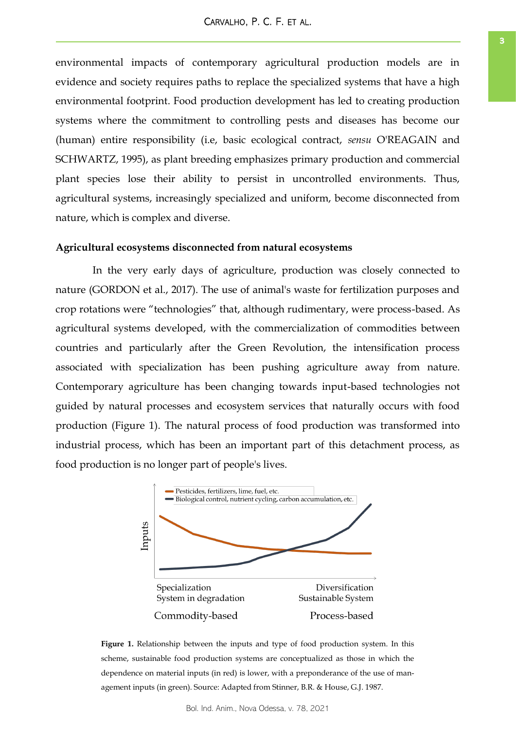environmental impacts of contemporary agricultural production models are in evidence and society requires paths to replace the specialized systems that have a high environmental footprint. Food production development has led to creating production systems where the commitment to controlling pests and diseases has become our (human) entire responsibility (i.e, basic ecological contract, *sensu* O'REAGAIN and SCHWARTZ, 1995), as plant breeding emphasizes primary production and commercial plant species lose their ability to persist in uncontrolled environments. Thus, agricultural systems, increasingly specialized and uniform, become disconnected from nature, which is complex and diverse.

#### **Agricultural ecosystems disconnected from natural ecosystems**

In the very early days of agriculture, production was closely connected to nature (GORDON et al., 2017). The use of animal's waste for fertilization purposes and crop rotations were "technologies" that, although rudimentary, were process-based. As agricultural systems developed, with the commercialization of commodities between countries and particularly after the Green Revolution, the intensification process associated with specialization has been pushing agriculture away from nature. Contemporary agriculture has been changing towards input-based technologies not guided by natural processes and ecosystem services that naturally occurs with food production (Figure 1). The natural process of food production was transformed into industrial process, which has been an important part of this detachment process, as food production is no longer part of people's lives.



**Figure 1.** Relationship between the inputs and type of food production system. In this scheme, sustainable food production systems are conceptualized as those in which the dependence on material inputs (in red) is lower, with a preponderance of the use of management inputs (in green). Source: Adapted from Stinner, B.R. & House, G.J. 1987.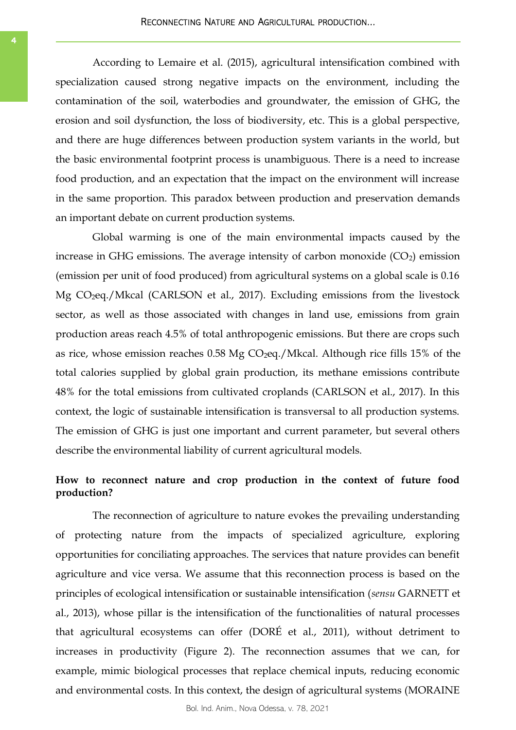According to Lemaire et al. (2015), agricultural intensification combined with specialization caused strong negative impacts on the environment, including the contamination of the soil, waterbodies and groundwater, the emission of GHG, the erosion and soil dysfunction, the loss of biodiversity, etc. This is a global perspective, and there are huge differences between production system variants in the world, but the basic environmental footprint process is unambiguous. There is a need to increase food production, and an expectation that the impact on the environment will increase in the same proportion. This paradox between production and preservation demands an important debate on current production systems.

Global warming is one of the main environmental impacts caused by the increase in GHG emissions. The average intensity of carbon monoxide  $(CO<sub>2</sub>)$  emission (emission per unit of food produced) from agricultural systems on a global scale is 0.16 Mg CO2eq./Mkcal (CARLSON et al., 2017). Excluding emissions from the livestock sector, as well as those associated with changes in land use, emissions from grain production areas reach 4.5% of total anthropogenic emissions. But there are crops such as rice, whose emission reaches  $0.58 \text{ Mg CO}_2$ eq./Mkcal. Although rice fills 15% of the total calories supplied by global grain production, its methane emissions contribute 48% for the total emissions from cultivated croplands (CARLSON et al., 2017). In this context, the logic of sustainable intensification is transversal to all production systems. The emission of GHG is just one important and current parameter, but several others describe the environmental liability of current agricultural models.

# **How to reconnect nature and crop production in the context of future food production?**

The reconnection of agriculture to nature evokes the prevailing understanding of protecting nature from the impacts of specialized agriculture, exploring opportunities for conciliating approaches. The services that nature provides can benefit agriculture and vice versa. We assume that this reconnection process is based on the principles of ecological intensification or sustainable intensification (*sensu* GARNETT et al., 2013), whose pillar is the intensification of the functionalities of natural processes that agricultural ecosystems can offer (DORÉ et al., 2011), without detriment to increases in productivity (Figure 2). The reconnection assumes that we can, for example, mimic biological processes that replace chemical inputs, reducing economic and environmental costs. In this context, the design of agricultural systems (MORAINE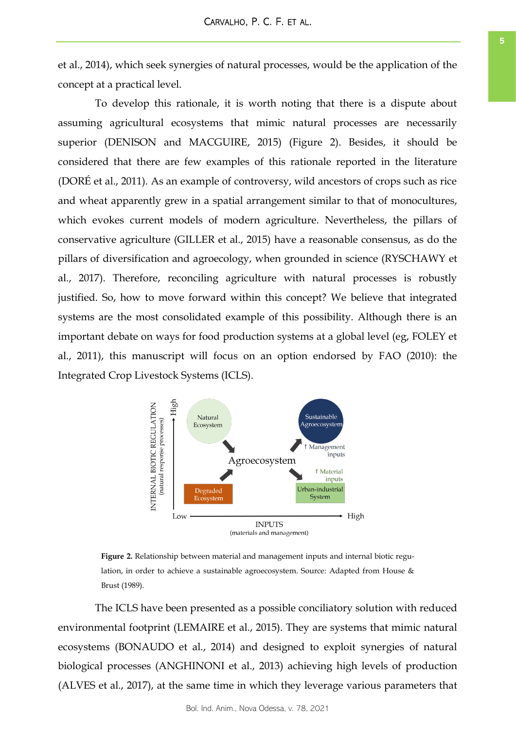et al., 2014), which seek synergies of natural processes, would be the application of the concept at a practical level.

To develop this rationale, it is worth noting that there is a dispute about assuming agricultural ecosystems that mimic natural processes are necessarily superior (DENISON and MACGUIRE, 2015) (Figure 2). Besides, it should be considered that there are few examples of this rationale reported in the literature (DORÉ et al., 2011). As an example of controversy, wild ancestors of crops such as rice and wheat apparently grew in a spatial arrangement similar to that of monocultures, which evokes current models of modern agriculture. Nevertheless, the pillars of conservative agriculture (GILLER et al., 2015) have a reasonable consensus, as do the pillars of diversification and agroecology, when grounded in science (RYSCHAWY et al., 2017). Therefore, reconciling agriculture with natural processes is robustly justified. So, how to move forward within this concept? We believe that integrated systems are the most consolidated example of this possibility. Although there is an important debate on ways for food production systems at a global level (eg, FOLEY et al., 2011), this manuscript will focus on an option endorsed by FAO (2010): the Integrated Crop Livestock Systems (ICLS).



**Figure 2.** Relationship between material and management inputs and internal biotic regulation, in order to achieve a sustainable agroecosystem. Source: Adapted from House & Brust (1989).

The ICLS have been presented as a possible conciliatory solution with reduced environmental footprint (LEMAIRE et al., 2015). They are systems that mimic natural ecosystems (BONAUDO et al., 2014) and designed to exploit synergies of natural biological processes (ANGHINONI et al., 2013) achieving high levels of production (ALVES et al., 2017), at the same time in which they leverage various parameters that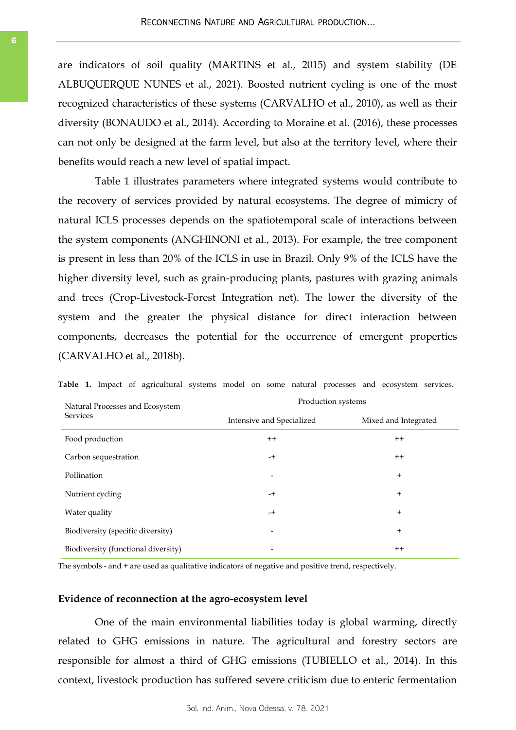are indicators of soil quality (MARTINS et al., 2015) and system stability (DE ALBUQUERQUE NUNES et al., 2021). Boosted nutrient cycling is one of the most recognized characteristics of these systems (CARVALHO et al., 2010), as well as their diversity (BONAUDO et al., 2014). According to Moraine et al. (2016), these processes can not only be designed at the farm level, but also at the territory level, where their benefits would reach a new level of spatial impact.

Table 1 illustrates parameters where integrated systems would contribute to the recovery of services provided by natural ecosystems. The degree of mimicry of natural ICLS processes depends on the spatiotemporal scale of interactions between the system components (ANGHINONI et al., 2013). For example, the tree component is present in less than 20% of the ICLS in use in Brazil. Only 9% of the ICLS have the higher diversity level, such as grain-producing plants, pastures with grazing animals and trees (Crop-Livestock-Forest Integration net). The lower the diversity of the system and the greater the physical distance for direct interaction between components, decreases the potential for the occurrence of emergent properties (CARVALHO et al., 2018b).

| Natural Processes and Ecosystem<br><b>Services</b> | Production systems        |                      |
|----------------------------------------------------|---------------------------|----------------------|
|                                                    | Intensive and Specialized | Mixed and Integrated |
| Food production                                    | $^{++}$                   | $++$                 |
| Carbon sequestration                               | $-+$                      | $++$                 |
| Pollination                                        | $\overline{\phantom{0}}$  | $+$                  |
| Nutrient cycling                                   | $-+$                      | $^{+}$               |
| Water quality                                      | $-+$                      | $+$                  |
| Biodiversity (specific diversity)                  | $\overline{\phantom{a}}$  | $+$                  |
| Biodiversity (functional diversity)                |                           | $^{++}$              |

Table 1. Impact of agricultural systems model on some natural processes and ecosystem services.

The symbols - and + are used as qualitative indicators of negative and positive trend, respectively.

#### **Evidence of reconnection at the agro-ecosystem level**

One of the main environmental liabilities today is global warming, directly related to GHG emissions in nature. The agricultural and forestry sectors are responsible for almost a third of GHG emissions (TUBIELLO et al., 2014). In this context, livestock production has suffered severe criticism due to enteric fermentation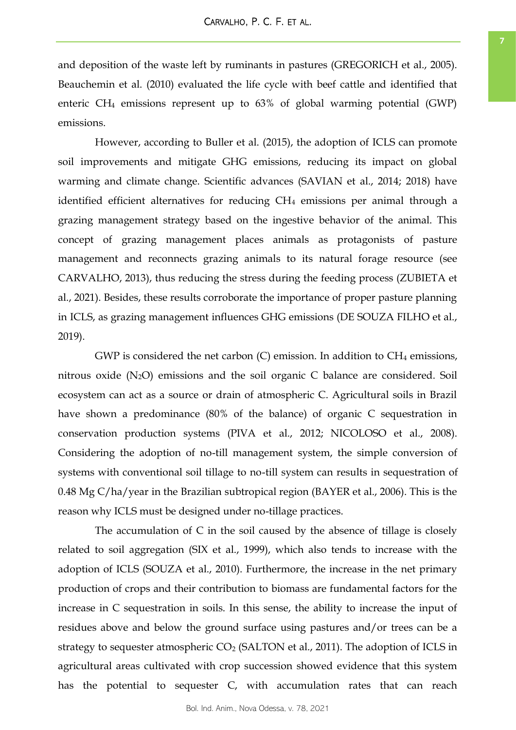and deposition of the waste left by ruminants in pastures (GREGORICH et al., 2005). Beauchemin et al. (2010) evaluated the life cycle with beef cattle and identified that enteric  $CH_4$  emissions represent up to  $63\%$  of global warming potential (GWP) emissions.

However, according to Buller et al. (2015), the adoption of ICLS can promote soil improvements and mitigate GHG emissions, reducing its impact on global warming and climate change. Scientific advances (SAVIAN et al., 2014; 2018) have identified efficient alternatives for reducing CH<sub>4</sub> emissions per animal through a grazing management strategy based on the ingestive behavior of the animal. This concept of grazing management places animals as protagonists of pasture management and reconnects grazing animals to its natural forage resource (see CARVALHO, 2013), thus reducing the stress during the feeding process (ZUBIETA et al., 2021). Besides, these results corroborate the importance of proper pasture planning in ICLS, as grazing management influences GHG emissions (DE SOUZA FILHO et al., 2019).

GWP is considered the net carbon  $(C)$  emission. In addition to  $CH_4$  emissions, nitrous oxide (N2O) emissions and the soil organic C balance are considered. Soil ecosystem can act as a source or drain of atmospheric C. Agricultural soils in Brazil have shown a predominance (80% of the balance) of organic C sequestration in conservation production systems (PIVA et al., 2012; NICOLOSO et al., 2008). Considering the adoption of no-till management system, the simple conversion of systems with conventional soil tillage to no-till system can results in sequestration of 0.48 Mg C/ha/year in the Brazilian subtropical region (BAYER et al., 2006). This is the reason why ICLS must be designed under no-tillage practices.

The accumulation of C in the soil caused by the absence of tillage is closely related to soil aggregation (SIX et al., 1999), which also tends to increase with the adoption of ICLS (SOUZA et al., 2010). Furthermore, the increase in the net primary production of crops and their contribution to biomass are fundamental factors for the increase in C sequestration in soils. In this sense, the ability to increase the input of residues above and below the ground surface using pastures and/or trees can be a strategy to sequester atmospheric  $CO<sub>2</sub>$  (SALTON et al., 2011). The adoption of ICLS in agricultural areas cultivated with crop succession showed evidence that this system has the potential to sequester C, with accumulation rates that can reach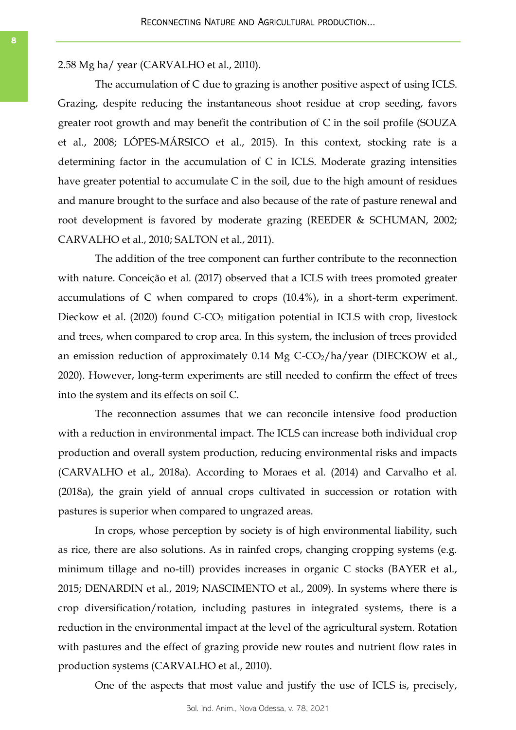2.58 Mg ha/ year (CARVALHO et al., 2010).

The accumulation of C due to grazing is another positive aspect of using ICLS. Grazing, despite reducing the instantaneous shoot residue at crop seeding, favors greater root growth and may benefit the contribution of C in the soil profile (SOUZA et al., 2008; LÓPES-MÁRSICO et al., 2015). In this context, stocking rate is a determining factor in the accumulation of C in ICLS. Moderate grazing intensities have greater potential to accumulate C in the soil, due to the high amount of residues and manure brought to the surface and also because of the rate of pasture renewal and root development is favored by moderate grazing (REEDER & SCHUMAN, 2002; CARVALHO et al., 2010; SALTON et al., 2011).

The addition of the tree component can further contribute to the reconnection with nature. Conceição et al. (2017) observed that a ICLS with trees promoted greater accumulations of C when compared to crops (10.4%), in a short-term experiment. Dieckow et al. (2020) found C-CO<sub>2</sub> mitigation potential in ICLS with crop, livestock and trees, when compared to crop area. In this system, the inclusion of trees provided an emission reduction of approximately  $0.14$  Mg C-CO<sub>2</sub>/ha/year (DIECKOW et al., 2020). However, long-term experiments are still needed to confirm the effect of trees into the system and its effects on soil C.

The reconnection assumes that we can reconcile intensive food production with a reduction in environmental impact. The ICLS can increase both individual crop production and overall system production, reducing environmental risks and impacts (CARVALHO et al., 2018a). According to Moraes et al. (2014) and Carvalho et al. (2018a), the grain yield of annual crops cultivated in succession or rotation with pastures is superior when compared to ungrazed areas.

In crops, whose perception by society is of high environmental liability, such as rice, there are also solutions. As in rainfed crops, changing cropping systems (e.g. minimum tillage and no-till) provides increases in organic C stocks (BAYER et al., 2015; DENARDIN et al., 2019; NASCIMENTO et al., 2009). In systems where there is crop diversification/rotation, including pastures in integrated systems, there is a reduction in the environmental impact at the level of the agricultural system. Rotation with pastures and the effect of grazing provide new routes and nutrient flow rates in production systems (CARVALHO et al., 2010).

One of the aspects that most value and justify the use of ICLS is, precisely,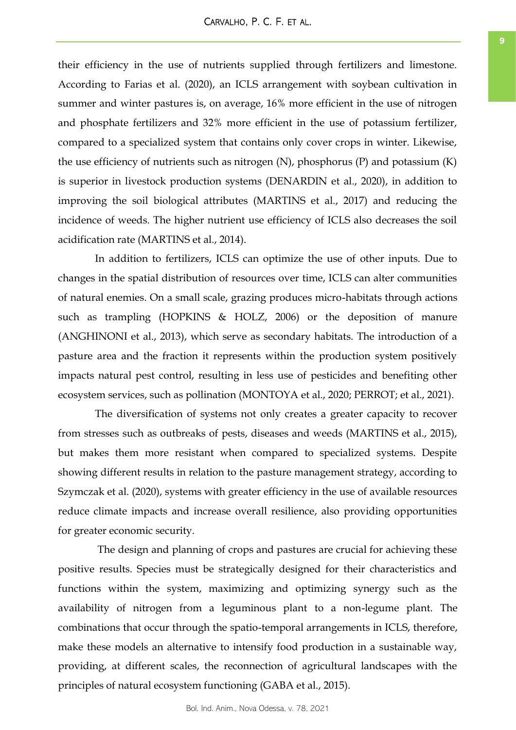their efficiency in the use of nutrients supplied through fertilizers and limestone. According to Farias et al. (2020), an ICLS arrangement with soybean cultivation in summer and winter pastures is, on average, 16% more efficient in the use of nitrogen and phosphate fertilizers and 32% more efficient in the use of potassium fertilizer, compared to a specialized system that contains only cover crops in winter. Likewise, the use efficiency of nutrients such as nitrogen (N), phosphorus (P) and potassium (K) is superior in livestock production systems (DENARDIN et al., 2020), in addition to improving the soil biological attributes (MARTINS et al., 2017) and reducing the incidence of weeds. The higher nutrient use efficiency of ICLS also decreases the soil acidification rate (MARTINS et al., 2014).

In addition to fertilizers, ICLS can optimize the use of other inputs. Due to changes in the spatial distribution of resources over time, ICLS can alter communities of natural enemies. On a small scale, grazing produces micro-habitats through actions such as trampling (HOPKINS & HOLZ, 2006) or the deposition of manure (ANGHINONI et al., 2013), which serve as secondary habitats. The introduction of a pasture area and the fraction it represents within the production system positively impacts natural pest control, resulting in less use of pesticides and benefiting other ecosystem services, such as pollination (MONTOYA et al., 2020; PERROT; et al., 2021).

The diversification of systems not only creates a greater capacity to recover from stresses such as outbreaks of pests, diseases and weeds (MARTINS et al., 2015), but makes them more resistant when compared to specialized systems. Despite showing different results in relation to the pasture management strategy, according to Szymczak et al. (2020), systems with greater efficiency in the use of available resources reduce climate impacts and increase overall resilience, also providing opportunities for greater economic security.

The design and planning of crops and pastures are crucial for achieving these positive results. Species must be strategically designed for their characteristics and functions within the system, maximizing and optimizing synergy such as the availability of nitrogen from a leguminous plant to a non-legume plant. The combinations that occur through the spatio-temporal arrangements in ICLS, therefore, make these models an alternative to intensify food production in a sustainable way, providing, at different scales, the reconnection of agricultural landscapes with the principles of natural ecosystem functioning (GABA et al., 2015).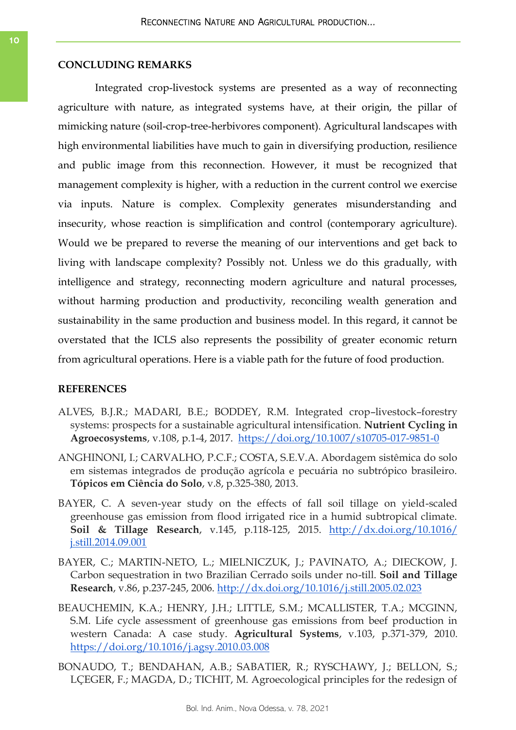# **CONCLUDING REMARKS**

Integrated crop-livestock systems are presented as a way of reconnecting agriculture with nature, as integrated systems have, at their origin, the pillar of mimicking nature (soil-crop-tree-herbivores component). Agricultural landscapes with high environmental liabilities have much to gain in diversifying production, resilience and public image from this reconnection. However, it must be recognized that management complexity is higher, with a reduction in the current control we exercise via inputs. Nature is complex. Complexity generates misunderstanding and insecurity, whose reaction is simplification and control (contemporary agriculture). Would we be prepared to reverse the meaning of our interventions and get back to living with landscape complexity? Possibly not. Unless we do this gradually, with intelligence and strategy, reconnecting modern agriculture and natural processes, without harming production and productivity, reconciling wealth generation and sustainability in the same production and business model. In this regard, it cannot be overstated that the ICLS also represents the possibility of greater economic return from agricultural operations. Here is a viable path for the future of food production.

### **REFERENCES**

- ALVES, B.J.R.; MADARI, B.E.; BODDEY, R.M. Integrated crop–livestock–forestry systems: prospects for a sustainable agricultural intensification. **Nutrient Cycling in Agroecosystems**, v.108, p.1-4, 2017. <https://doi.org/10.1007/s10705-017-9851-0>
- ANGHINONI, I.; CARVALHO, P.C.F.; COSTA, S.E.V.A. Abordagem sistêmica do solo em sistemas integrados de produção agrícola e pecuária no subtrópico brasileiro. **Tópicos em Ciência do Solo**, v.8, p.325-380, 2013.
- BAYER, C. A seven-year study on the effects of fall soil tillage on yield-scaled greenhouse gas emission from flood irrigated rice in a humid subtropical climate. **Soil & Tillage Research**, v.145, p.118-125, 2015. [http://dx.doi.org/10.1016/](http://dx.doi.org/10.1016/j.still.2014.09.001) [j.still.2014.09.001](http://dx.doi.org/10.1016/j.still.2014.09.001)
- BAYER, C.; MARTIN-NETO, L.; MIELNICZUK, J.; PAVINATO, A.; DIECKOW, J. Carbon sequestration in two Brazilian Cerrado soils under no-till. **Soil and Tillage Research**, v.86, p.237-245, 2006. <http://dx.doi.org/10.1016/j.still.2005.02.023>
- BEAUCHEMIN, K.A.; HENRY, J.H.; LITTLE, S.M.; MCALLISTER, T.A.; MCGINN, S.M. Life cycle assessment of greenhouse gas emissions from beef production in western Canada: A case study. **Agricultural Systems**, v.103, p.371-379, 2010. <https://doi.org/10.1016/j.agsy.2010.03.008>
- BONAUDO, T.; BENDAHAN, A.B.; SABATIER, R.; RYSCHAWY, J.; BELLON, S.; LÇEGER, F.; MAGDA, D.; TICHIT, M. Agroecological principles for the redesign of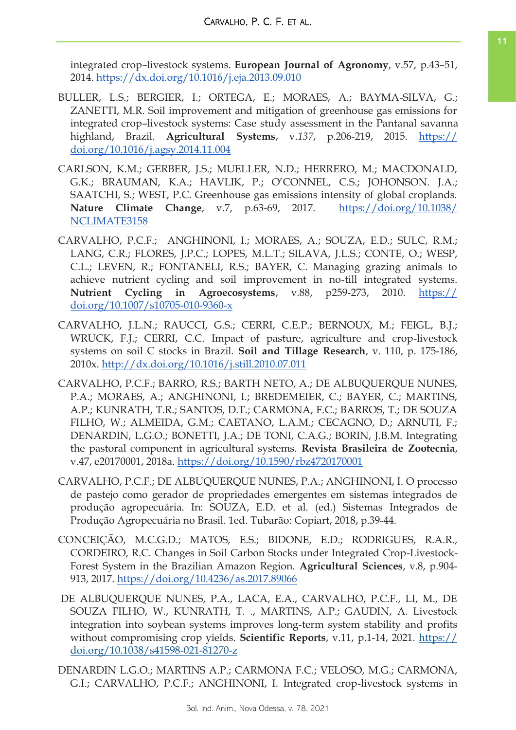integrated crop–livestock systems. **European Journal of Agronomy**, v.57, p.43–51, 2014.<https://dx.doi.org/10.1016/j.eja.2013.09.010>

- BULLER, L.S.; BERGIER, I.; ORTEGA, E.; MORAES, A.; BAYMA-SILVA, G.; ZANETTI, M.R. Soil improvement and mitigation of greenhouse gas emissions for integrated crop–livestock systems: Case study assessment in the Pantanal savanna highland, Brazil. **Agricultural Systems**, v.*137*, p.206-219, 2015. [https://](https://doi.org/10.1016/j.agsy.2014.11.004) [doi.org/10.1016/j.agsy.2014.11.004](https://doi.org/10.1016/j.agsy.2014.11.004)
- CARLSON, K.M.; GERBER, J.S.; MUELLER, N.D.; HERRERO, M.; MACDONALD, G.K.; BRAUMAN, K.A.; HAVLIK, P.; O'CONNEL, C.S.; JOHONSON. J.A.; SAATCHI, S.; WEST, P.C. Greenhouse gas emissions intensity of global croplands. **Nature Climate Change**, v.7, p.63-69, 2017. [https://doi.org/10.1038/](https://doi.org/10.1038/NCLIMATE3158) [NCLIMATE3158](https://doi.org/10.1038/NCLIMATE3158)
- CARVALHO, P.C.F.; ANGHINONI, I.; MORAES, A.; SOUZA, E.D.; SULC, R.M.; LANG, C.R.; FLORES, J.P.C.; LOPES, M.L.T.; SILAVA, J.L.S.; CONTE, O.; WESP, C.L.; LEVEN, R.; FONTANELI, R.S.; BAYER, C. Managing grazing animals to achieve nutrient cycling and soil improvement in no-till integrated systems. **Nutrient Cycling in Agroecosystems**, v.88, p259-273, 2010. [https://](https://doi.org/10.1007/s10705-010-9360-x) [doi.org/10.1007/s10705-010-9360-x](https://doi.org/10.1007/s10705-010-9360-x)
- CARVALHO, J.L.N.; RAUCCI, G.S.; CERRI, C.E.P.; BERNOUX, M.; FEIGL, B.J.; WRUCK, F.J.; CERRI, C.C. Impact of pasture, agriculture and crop-livestock systems on soil C stocks in Brazil. **Soil and Tillage Research**, v. 110, p. 175-186, 2010x.<http://dx.doi.org/10.1016/j.still.2010.07.011>
- CARVALHO, P.C.F.; BARRO, R.S.; BARTH NETO, A.; DE ALBUQUERQUE NUNES, P.A.; MORAES, A.; ANGHINONI, I.; BREDEMEIER, C.; BAYER, C.; MARTINS, A.P.; KUNRATH, T.R.; SANTOS, D.T.; CARMONA, F.C.; BARROS, T.; DE SOUZA FILHO, W.; ALMEIDA, G.M.; CAETANO, L.A.M.; CECAGNO, D.; ARNUTI, F.; DENARDIN, L.G.O.; BONETTI, J.A.; DE TONI, C.A.G.; BORIN, J.B.M. Integrating the pastoral component in agricultural systems. **Revista Brasileira de Zootecnia**, v.47, e20170001, 2018a. <https://doi.org/10.1590/rbz4720170001>
- CARVALHO, P.C.F.; DE ALBUQUERQUE NUNES, P.A.; ANGHINONI, I. O processo de pastejo como gerador de propriedades emergentes em sistemas integrados de produção agropecuária. In: SOUZA, E.D. et al. (ed.) Sistemas Integrados de Produção Agropecuária no Brasil. 1ed. Tubarão: Copiart, 2018, p.39-44.
- CONCEIÇÃO, M.C.G.D.; MATOS, E.S.; BIDONE, E.D.; RODRIGUES, R.A.R., CORDEIRO, R.C. Changes in Soil Carbon Stocks under Integrated Crop-Livestock-Forest System in the Brazilian Amazon Region. **Agricultural Sciences**, v.8, p.904- 913, 2017.<https://doi.org/10.4236/as.2017.89066>
- DE ALBUQUERQUE NUNES, P.A., LACA, E.A., CARVALHO, P.C.F., LI, M., DE SOUZA FILHO, W., KUNRATH, T. ., MARTINS, A.P.; GAUDIN, A. Livestock integration into soybean systems improves long-term system stability and profits without compromising crop yields. **Scientific Reports**, v.11, p.1-14, 2021. [https://](https://doi.org/10.1038/s41598-021-81270-z) [doi.org/10.1038/s41598-021-81270-z](https://doi.org/10.1038/s41598-021-81270-z)
- DENARDIN L.G.O.; MARTINS A.P.; CARMONA F.C.; VELOSO, M.G.; CARMONA, G.I.; CARVALHO, P.C.F.; ANGHINONI, I. Integrated crop-livestock systems in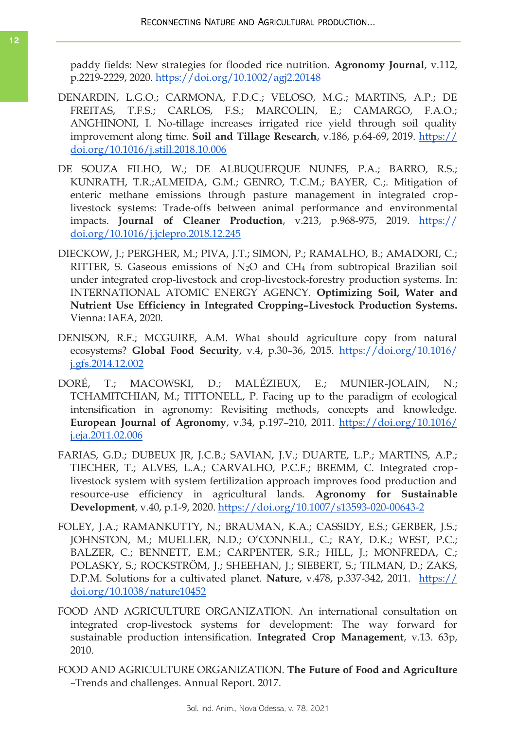paddy fields: New strategies for flooded rice nutrition. **Agronomy Journal**, v.112, p.2219-2229, 2020.<https://doi.org/10.1002/agj2.20148>

- DENARDIN, L.G.O.; CARMONA, F.D.C.; VELOSO, M.G.; MARTINS, A.P.; DE FREITAS, T.F.S.; CARLOS, F.S.; MARCOLIN, E.; CAMARGO, F.A.O.; ANGHINONI, I. No-tillage increases irrigated rice yield through soil quality improvement along time. **Soil and Tillage Research**, v.186, p.64-69, 2019. [https://](https://doi.org/10.1016/j.still.2018.10.006) [doi.org/10.1016/j.still.2018.10.006](https://doi.org/10.1016/j.still.2018.10.006)
- DE SOUZA FILHO, W.; DE ALBUQUERQUE NUNES, P.A.; BARRO, R.S.; KUNRATH, T.R.;ALMEIDA, G.M.; GENRO, T.C.M.; BAYER, C.;. Mitigation of enteric methane emissions through pasture management in integrated croplivestock systems: Trade-offs between animal performance and environmental impacts. **Journal of Cleaner Production**, v.213, p.968-975, 2019. [https://](https://doi.org/10.1016/j.jclepro.2018.12.245) [doi.org/10.1016/j.jclepro.2018.12.245](https://doi.org/10.1016/j.jclepro.2018.12.245)
- DIECKOW, J.; PERGHER, M.; PIVA, J.T.; SIMON, P.; RAMALHO, B.; AMADORI, C.; RITTER, S. Gaseous emissions of N2O and CH<sup>4</sup> from subtropical Brazilian soil under integrated crop-livestock and crop-livestock-forestry production systems. In: INTERNATIONAL ATOMIC ENERGY AGENCY. **Optimizing Soil, Water and Nutrient Use Efficiency in Integrated Cropping–Livestock Production Systems.**  Vienna: IAEA, 2020.
- DENISON, R.F.; MCGUIRE, A.M. What should agriculture copy from natural ecosystems? **Global Food Security**, v.4, p.30–36, 2015. [https://doi.org/10.1016/](https://doi.org/10.1016/j.gfs.2014.12.002) [j.gfs.2014.12.002](https://doi.org/10.1016/j.gfs.2014.12.002)
- DORÉ, T.; MACOWSKI, D.; MALÉZIEUX, E.; MUNIER-JOLAIN, N.; TCHAMITCHIAN, M.; TITTONELL, P. Facing up to the paradigm of ecological intensification in agronomy: Revisiting methods, concepts and knowledge. **European Journal of Agronomy**, v.34, p.197–210, 2011. [https://doi.org/10.1016/](https://doi.org/10.1016/j.eja.2011.02.006) [j.eja.2011.02.006](https://doi.org/10.1016/j.eja.2011.02.006)
- FARIAS, G.D.; DUBEUX JR, J.C.B.; SAVIAN, J.V.; DUARTE, L.P.; MARTINS, A.P.; TIECHER, T.; ALVES, L.A.; CARVALHO, P.C.F.; BREMM, C. Integrated croplivestock system with system fertilization approach improves food production and resource-use efficiency in agricultural lands. **Agronomy for Sustainable Development**, v.40, p.1-9, 2020. <https://doi.org/10.1007/s13593-020-00643-2>
- FOLEY, J.A.; RAMANKUTTY, N.; BRAUMAN, K.A.; CASSIDY, E.S.; GERBER, J.S.; JOHNSTON, M.; MUELLER, N.D.; O'CONNELL, C.; RAY, D.K.; WEST, P.C.; BALZER, C.; BENNETT, E.M.; CARPENTER, S.R.; HILL, J.; MONFREDA, C.; POLASKY, S.; ROCKSTRÖM, J.; SHEEHAN, J.; SIEBERT, S.; TILMAN, D.; ZAKS, D.P.M. Solutions for a cultivated planet. **Nature**, v.478, p.337-342, 2011. [https://](https://doi.org/10.1038/nature10452) [doi.org/10.1038/nature10452](https://doi.org/10.1038/nature10452)
- FOOD AND AGRICULTURE ORGANIZATION. An international consultation on integrated crop-livestock systems for development: The way forward for sustainable production intensification. **Integrated Crop Management**, v.13. 63p, 2010.
- FOOD AND AGRICULTURE ORGANIZATION. **The Future of Food and Agriculture** –Trends and challenges. Annual Report. 2017.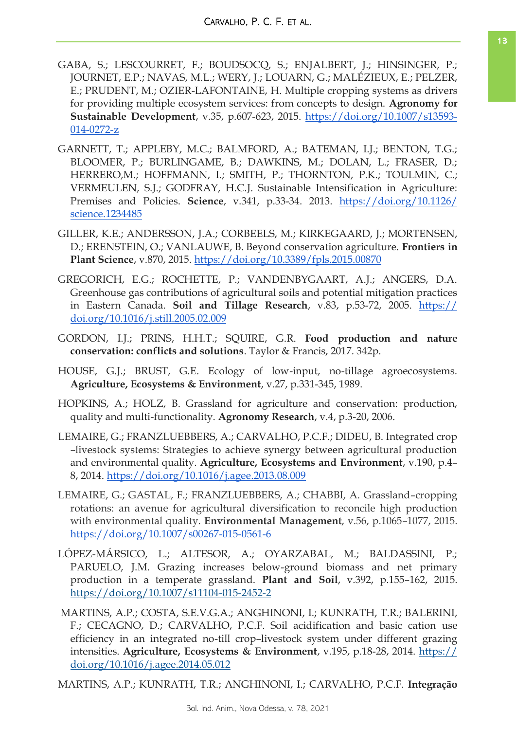- GABA, S.; LESCOURRET, F.; BOUDSOCQ, S.; ENJALBERT, J.; HINSINGER, P.; JOURNET, E.P.; NAVAS, M.L.; WERY, J.; LOUARN, G.; MALÉZIEUX, E.; PELZER, E.; PRUDENT, M.; OZIER-LAFONTAINE, H. Multiple cropping systems as drivers for providing multiple ecosystem services: from concepts to design. **Agronomy for Sustainable Development**, v.35, p.607-623, 2015. [https://doi.org/10.1007/s13593-](https://doi.org/10.1007/s13593-014-0272-z) [014-0272-z](https://doi.org/10.1007/s13593-014-0272-z)
- GARNETT, T.; APPLEBY, M.C.; BALMFORD, A.; BATEMAN, I.J.; BENTON, T.G.; BLOOMER, P.; BURLINGAME, B.; DAWKINS, M.; DOLAN, L.; FRASER, D.; HERRERO,M.; HOFFMANN, I.; SMITH, P.; THORNTON, P.K.; TOULMIN, C.; VERMEULEN, S.J.; GODFRAY, H.C.J. Sustainable Intensification in Agriculture: Premises and Policies. **Science**, v.341, p.33-34. 2013. [https://doi.org/10.1126/](https://doi.org/10.1126/science.1234485) [science.1234485](https://doi.org/10.1126/science.1234485)
- GILLER, K.E.; ANDERSSON, J.A.; CORBEELS, M.; KIRKEGAARD, J.; MORTENSEN, D.; ERENSTEIN, O.; VANLAUWE, B. Beyond conservation agriculture. **Frontiers in Plant Science**, v.870, 2015.<https://doi.org/10.3389/fpls.2015.00870>
- GREGORICH, E.G.; ROCHETTE, P.; VANDENBYGAART, A.J.; ANGERS, D.A. Greenhouse gas contributions of agricultural soils and potential mitigation practices in Eastern Canada. **Soil and Tillage Research**, v.83, p.53-72, 2005. [https://](https://doi.org/10.1016/j.still.2005.02.009) [doi.org/10.1016/j.still.2005.02.009](https://doi.org/10.1016/j.still.2005.02.009)
- GORDON, I.J.; PRINS, H.H.T.; SQUIRE, G.R. **Food production and nature conservation: conflicts and solutions**. Taylor & Francis, 2017. 342p.
- HOUSE, G.J.; BRUST, G.E. Ecology of low-input, no-tillage agroecosystems. **Agriculture, Ecosystems & Environment**, v.27, p.331-345, 1989.
- HOPKINS, A.; HOLZ, B. Grassland for agriculture and conservation: production, quality and multi-functionality. **Agronomy Research**, v.4, p.3-20, 2006.
- LEMAIRE, G.; FRANZLUEBBERS, A.; CARVALHO, P.C.F.; DIDEU, B. Integrated crop –livestock systems: Strategies to achieve synergy between agricultural production and environmental quality. **Agriculture, Ecosystems and Environment**, v.190, p.4– 8, 2014.<https://doi.org/10.1016/j.agee.2013.08.009>
- LEMAIRE, G.; GASTAL, F.; FRANZLUEBBERS, A.; CHABBI, A. Grassland–cropping rotations: an avenue for agricultural diversification to reconcile high production with environmental quality. **Environmental Management**, v.56, p.1065–1077, 2015. <https://doi.org/10.1007/s00267-015-0561-6>
- LÓPEZ-MÁRSICO, L.; ALTESOR, A.; OYARZABAL, M.; BALDASSINI, P.; PARUELO, J.M. Grazing increases below-ground biomass and net primary production in a temperate grassland. **Plant and Soil**, v.392, p.155–162, 2015. <https://doi.org/10.1007/s11104-015-2452-2>
- MARTINS, A.P.; COSTA, S.E.V.G.A.; ANGHINONI, I.; KUNRATH, T.R.; BALERINI, F.; CECAGNO, D.; CARVALHO, P.C.F. Soil acidification and basic cation use efficiency in an integrated no-till crop–livestock system under different grazing intensities. **Agriculture, Ecosystems & Environment**, v.195, p.18-28, 2014. [https://](https://doi.org/10.1016/j.agee.2014.05.012) [doi.org/10.1016/j.agee.2014.05.012](https://doi.org/10.1016/j.agee.2014.05.012)

MARTINS, A.P.; KUNRATH, T.R.; ANGHINONI, I.; CARVALHO, P.C.F. **Integração**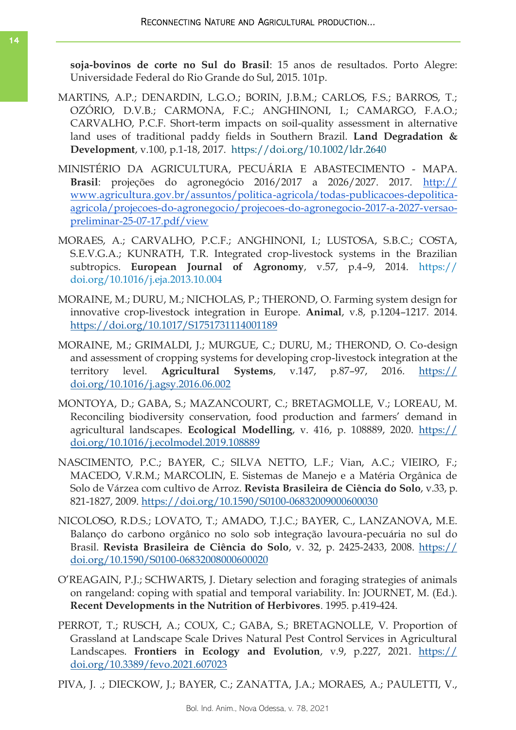**soja-bovinos de corte no Sul do Brasil**: 15 anos de resultados. Porto Alegre: Universidade Federal do Rio Grande do Sul, 2015. 101p.

- MARTINS, A.P.; DENARDIN, L.G.O.; BORIN, J.B.M.; CARLOS, F.S.; BARROS, T.; OZÓRIO, D.V.B.; CARMONA, F.C.; ANGHINONI, I.; CAMARGO, F.A.O.; CARVALHO, P.C.F. Short-term impacts on soil-quality assessment in alternative land uses of traditional paddy fields in Southern Brazil. **Land Degradation & Development**, v.100, p.1-18, 2017. <https://doi.org/10.1002/ldr.2640>
- MINISTÉRIO DA AGRICULTURA, PECUÁRIA E ABASTECIMENTO MAPA. **Brasil**: projeções do agronegócio 2016/2017 a 2026/2027. 2017. [http://](http://www.agricultura.gov.br/assuntos/politica-agricola/todas-publicacoes-depolitica-agricola/projecoes-do-agronegocio/projecoes-do-agronegocio-2017-a-2027-versao-preliminar-25-07-17.pdf/view) [www.agricultura.gov.br/assuntos/politica-agricola/todas-publicacoes-depolitica](http://www.agricultura.gov.br/assuntos/politica-agricola/todas-publicacoes-depolitica-agricola/projecoes-do-agronegocio/projecoes-do-agronegocio-2017-a-2027-versao-preliminar-25-07-17.pdf/view)[agricola/projecoes-do-agronegocio/projecoes-do-agronegocio-2017-a-2027-versao](http://www.agricultura.gov.br/assuntos/politica-agricola/todas-publicacoes-depolitica-agricola/projecoes-do-agronegocio/projecoes-do-agronegocio-2017-a-2027-versao-preliminar-25-07-17.pdf/view)[preliminar-25-07-17.pdf/view](http://www.agricultura.gov.br/assuntos/politica-agricola/todas-publicacoes-depolitica-agricola/projecoes-do-agronegocio/projecoes-do-agronegocio-2017-a-2027-versao-preliminar-25-07-17.pdf/view)
- MORAES, A.; CARVALHO, P.C.F.; ANGHINONI, I.; LUSTOSA, S.B.C.; COSTA, S.E.V.G.A.; KUNRATH, T.R. Integrated crop-livestock systems in the Brazilian subtropics. **European Journal of Agronomy**, v.57, p.4–9, 2014. [https://](https://doi.org/10.1016/j.eja.2013.10.004) [doi.org/10.1016/j.eja.2013.10.004](https://doi.org/10.1016/j.eja.2013.10.004)
- MORAINE, M.; DURU, M.; NICHOLAS, P.; THEROND, O. Farming system design for innovative crop-livestock integration in Europe. **Animal**, v.8, p.1204–1217. 2014. <https://doi.org/10.1017/S1751731114001189>
- MORAINE, M.; GRIMALDI, J.; MURGUE, C.; DURU, M.; THEROND, O. Co-design and assessment of cropping systems for developing crop-livestock integration at the territory level. **Agricultural Systems**, v.147, p.87–97, 2016. [https://](https://doi.org/10.1016/j.agsy.2016.06.002) [doi.org/10.1016/j.agsy.2016.06.002](https://doi.org/10.1016/j.agsy.2016.06.002)
- MONTOYA, D.; GABA, S.; MAZANCOURT, C.; BRETAGMOLLE, V.; LOREAU, M. Reconciling biodiversity conservation, food production and farmers' demand in agricultural landscapes. **Ecological Modelling**, v. 416, p. 108889, 2020. [https://](https://doi.org/10.1016/j.ecolmodel.2019.108889) [doi.org/10.1016/j.ecolmodel.2019.108889](https://doi.org/10.1016/j.ecolmodel.2019.108889)
- NASCIMENTO, P.C.; BAYER, C.; SILVA NETTO, L.F.; Vian, A.C.; VIEIRO, F.; MACEDO, V.R.M.; MARCOLIN, E. Sistemas de Manejo e a Matéria Orgânica de Solo de Várzea com cultivo de Arroz. **Revista Brasileira de Ciência do Solo**, v.33, p. 821-1827, 2009.<https://doi.org/10.1590/S0100-06832009000600030>
- NICOLOSO, R.D.S.; LOVATO, T.; AMADO, T.J.C.; BAYER, C., LANZANOVA, M.E. Balanço do carbono orgânico no solo sob integração lavoura-pecuária no sul do Brasil. **Revista Brasileira de Ciência do Solo**, v. 32, p. 2425-2433, 2008. [https://](https://doi.org/10.1590/S0100-06832008000600020) [doi.org/10.1590/S0100-06832008000600020](https://doi.org/10.1590/S0100-06832008000600020)
- O'REAGAIN, P.J.; SCHWARTS, J. Dietary selection and foraging strategies of animals on rangeland: coping with spatial and temporal variability. In: JOURNET, M. (Ed.). **Recent Developments in the Nutrition of Herbivores**. 1995. p.419-424.
- PERROT, T.; RUSCH, A.; COUX, C.; GABA, S.; BRETAGNOLLE, V. Proportion of Grassland at Landscape Scale Drives Natural Pest Control Services in Agricultural Landscapes. **Frontiers in Ecology and Evolution**, v.9, p.227, 2021. [https://](https://doi.org/10.3389/fevo.2021.607023) [doi.org/10.3389/fevo.2021.607023](https://doi.org/10.3389/fevo.2021.607023)
- PIVA, J. .; DIECKOW, J.; BAYER, C.; ZANATTA, J.A.; MORAES, A.; PAULETTI, V.,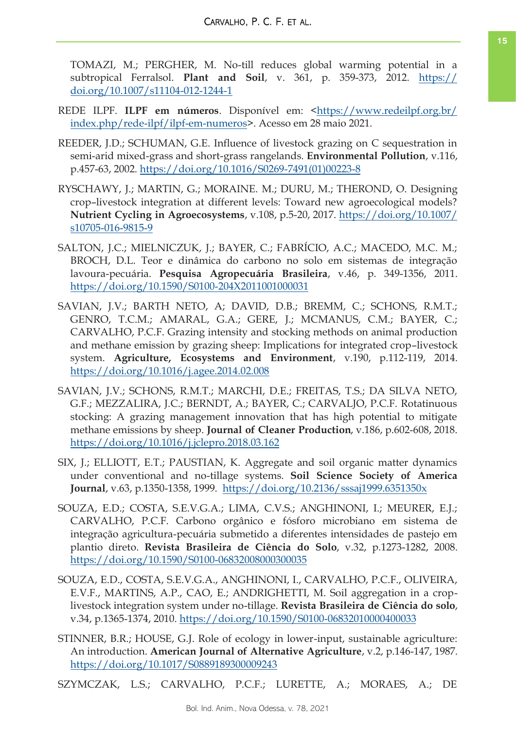TOMAZI, M.; PERGHER, M. No-till reduces global warming potential in a subtropical Ferralsol. **Plant and Soil**, v. 361, p. 359-373, 2012. [https://](https://doi.org/10.1007/s11104-012-1244-1) [doi.org/10.1007/s11104-012-1244-1](https://doi.org/10.1007/s11104-012-1244-1)

- REDE ILPF. **ILPF em números**. Disponível em: <[https://www.redeilpf.org.br/](https://www.redeilpf.org.br/index.php/rede-ilpf/ilpf-em-numeros) [index.php/rede-ilpf/ilpf-em-numeros>](https://www.redeilpf.org.br/index.php/rede-ilpf/ilpf-em-numeros). Acesso em 28 maio 2021.
- REEDER, J.D.; SCHUMAN, G.E. Influence of livestock grazing on C sequestration in semi-arid mixed-grass and short-grass rangelands. **Environmental Pollution**, v.116, p.457-63, 2002. [https://doi.org/10.1016/S0269-7491\(01\)00223-8](https://doi.org/10.1016/S0269-7491(01)00223-8)
- RYSCHAWY, J.; MARTIN, G.; MORAINE. M.; DURU, M.; THEROND, O. Designing crop–livestock integration at different levels: Toward new agroecological models? **Nutrient Cycling in Agroecosystems**, v.108, p.5-20, 2017. [https://doi.org/10.1007/](https://doi.org/10.1007/s10705-016-9815-9) [s10705-016-9815-9](https://doi.org/10.1007/s10705-016-9815-9)
- SALTON, J.C.; MIELNICZUK, J.; BAYER, C.; FABRÍCIO, A.C.; MACEDO, M.C. M.; BROCH, D.L. Teor e dinâmica do carbono no solo em sistemas de integração lavoura-pecuária. **Pesquisa Agropecuária Brasileira**, v.46, p. 349-1356, 2011. <https://doi.org/10.1590/S0100-204X2011001000031>
- SAVIAN, J.V.; BARTH NETO, A; DAVID, D.B.; BREMM, C.; SCHONS, R.M.T.; GENRO, T.C.M.; AMARAL, G.A.; GERE, J.; MCMANUS, C.M.; BAYER, C.; CARVALHO, P.C.F. Grazing intensity and stocking methods on animal production and methane emission by grazing sheep: Implications for integrated crop–livestock system. **Agriculture, Ecosystems and Environment**, v.190, p.112-119, 2014. <https://doi.org/10.1016/j.agee.2014.02.008>
- SAVIAN, J.V.; SCHONS, R.M.T.; MARCHI, D.E.; FREITAS, T.S.; DA SILVA NETO, G.F.; MEZZALIRA, J.C.; BERNDT, A.; BAYER, C.; CARVALJO, P.C.F. Rotatinuous stocking: A grazing management innovation that has high potential to mitigate methane emissions by sheep. **Journal of Cleaner Production**, v.186, p.602-608, 2018. <https://doi.org/10.1016/j.jclepro.2018.03.162>
- SIX, J.; ELLIOTT, E.T.; PAUSTIAN, K. Aggregate and soil organic matter dynamics under conventional and no-tillage systems. **Soil Science Society of America Journal**, v.63, p.1350-1358, 1999. <https://doi.org/10.2136/sssaj1999.6351350x>
- SOUZA, E.D.; COSTA, S.E.V.G.A.; LIMA, C.V.S.; ANGHINONI, I.; MEURER, E.J.; CARVALHO, P.C.F. Carbono orgânico e fósforo microbiano em sistema de integração agricultura-pecuária submetido a diferentes intensidades de pastejo em plantio direto. **Revista Brasileira de Ciência do Solo**, v.32, p.1273-1282, 2008. <https://doi.org/10.1590/S0100-06832008000300035>
- SOUZA, E.D., COSTA, S.E.V.G.A., ANGHINONI, I., CARVALHO, P.C.F., OLIVEIRA, E.V.F., MARTINS, A.P., CAO, E.; ANDRIGHETTI, M. Soil aggregation in a croplivestock integration system under no-tillage. **Revista Brasileira de Ciência do solo**, v.34, p.1365-1374, 2010.<https://doi.org/10.1590/S0100-06832010000400033>
- STINNER, B.R.; HOUSE, G.J. Role of ecology in lower-input, sustainable agriculture: An introduction. **American Journal of Alternative Agriculture**, v.2, p.146-147, 1987. <https://doi.org/10.1017/S0889189300009243>

SZYMCZAK, L.S.; CARVALHO, P.C.F.; LURETTE, A.; MORAES, A.; DE